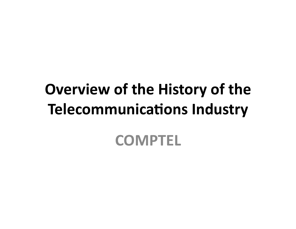# **Overview of the History of the Telecommunications Industry**

## **COMPTEL'**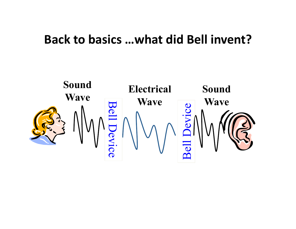#### Back to basics ...what did Bell invent?

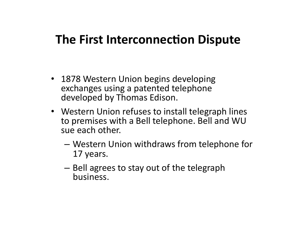### **The First Interconnection Dispute**

- 1878 Western Union begins developing exchanges using a patented telephone developed by Thomas Edison.
- Western Union refuses to install telegraph lines to premises with a Bell telephone. Bell and WU sue each other.
	- $-$  Western Union withdraws from telephone for 17 years.
	- $-$  Bell agrees to stay out of the telegraph business.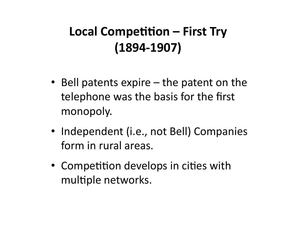## Local Competition – First Try  $(1894 - 1907)$

- Bell patents expire  $-$  the patent on the telephone was the basis for the first monopoly.
- Independent (i.e., not Bell) Companies form in rural areas.
- Competition develops in cities with multiple networks.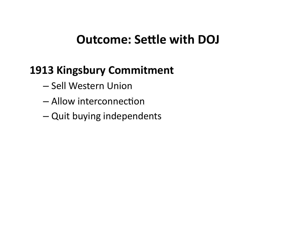## **Outcome: Settle with DOJ**

### **1913 Kingsbury Commitment**

- Sell Western Union
- Allow interconnection
- Quit buying independents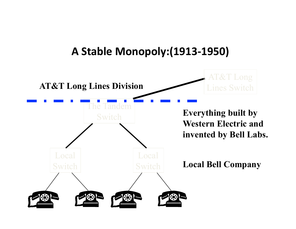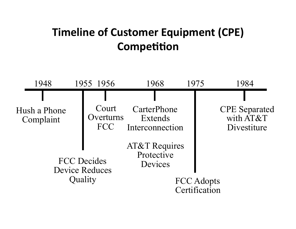### **Timeline of Customer Equipment (CPE) Competition**

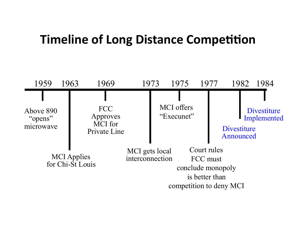### **Timeline of Long Distance Competition**

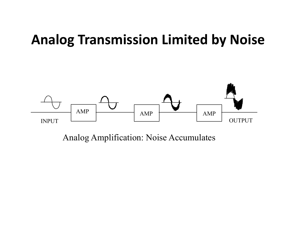## **Analog Transmission Limited by Noise**



Analog Amplification: Noise Accumulates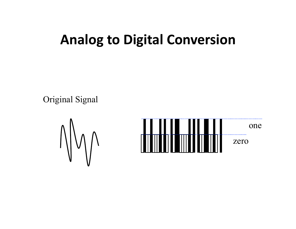## **Analog to Digital Conversion**

Original Signal



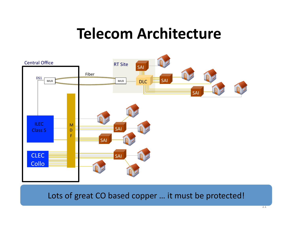## **Telecom Architecture**



Lots of great CO based copper ... it must be protected!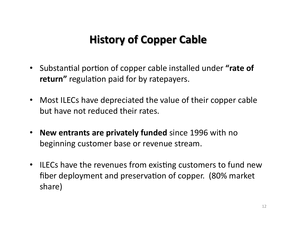#### **History of Copper Cable**

- Substantial portion of copper cable installed under **"rate of return"** regulation paid for by ratepayers.
- Most ILECs have depreciated the value of their copper cable but have not reduced their rates.
- **New entrants are privately funded** since 1996 with no beginning customer base or revenue stream.
- ILECs have the revenues from existing customers to fund new fiber deployment and preservation of copper. (80% market share)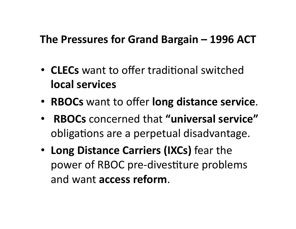#### The Pressures for Grand Bargain – 1996 ACT

- **CLECs** want to offer traditional switched **local'services'**
- **RBOCs** want to offer **long distance service**.
- **RBOCs**\$concerned\$that\$**"universal'service"'** obligations are a perpetual disadvantage.
- Long Distance Carriers (IXCs) fear the power of RBOC pre-divestiture problems and want **access reform**.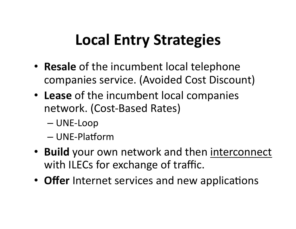# **Local Entry Strategies**

- Resale of the incumbent local telephone companies service. (Avoided Cost Discount)
- Lease of the incumbent local companies network. (Cost-Based Rates)
	- $-$  UNE-Loop
	- UNE-Platform
- Build your own network and then interconnect with ILECs for exchange of traffic.
- Offer Internet services and new applications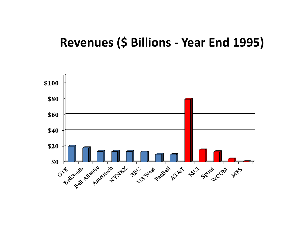#### Revenues (\$ Billions - Year End 1995)

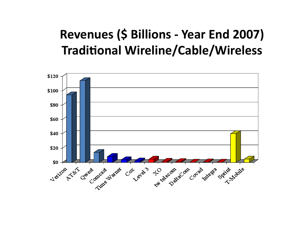## **Revenues (\$ Billions - Year End 2007) Traditional Wireline/Cable/Wireless**

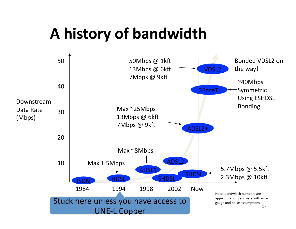# **A'history'of'bandwidth'**

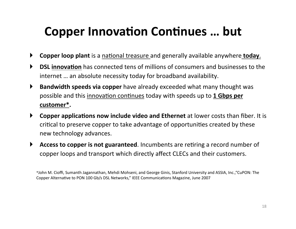## **Copper Innovation Continues ... but**

- Copper loop plant is a national treasure and generally available anywhere today.  $\blacktriangleright$
- **DSL innovation** has connected tens of millions of consumers and businesses to the  $\blacktriangleright$ internet ... an absolute necessity today for broadband availability.
- $\blacktriangleright$ **Bandwidth speeds via copper** have already exceeded what many thought was possible and this innovation continues today with speeds up to 1 Gbps per customer\*.
- $\blacktriangleright$ **Copper applications now include video and Ethernet** at lower costs than fiber. It is critical to preserve copper to take advantage of opportunities created by these new technology advances.
- $\blacktriangleright$ Access to copper is not guaranteed. Incumbents are retiring a record number of copper loops and transport which directly affect CLECs and their customers.

<sup>\*</sup>John M. Cioffi, Sumanth Jagannathan, Mehdi Mohseni, and George Ginis, Stanford University and ASSIA, Inc., "CuPON: The Copper Alternative to PON 100 Gb/s DSL Networks," IEEE Communications Magazine, June 2007